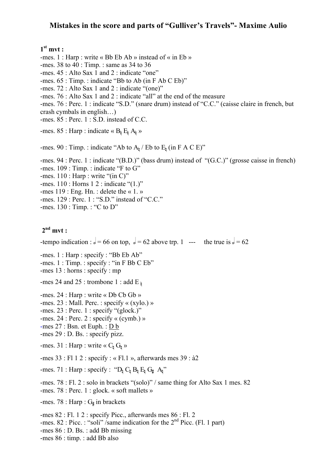#### **Mistakes in the score and parts of "Gulliver's Travels"- Maxime Aulio**

### **1st mvt :**

-mes. 1 : Harp : write « Bb Eb Ab » instead of « in Eb »

-mes. 38 to 40 : Timp. : same as 34 to 36

-mes. 45 : Alto Sax 1 and 2 : indicate "one"

-mes. 65 : Timp. : indicate "Bb to Ab (in F Ab C Eb)"

-mes. 72 : Alto Sax 1 and 2 : indicate "(one)"

-mes. 76 : Alto Sax 1 and 2 : indicate "all" at the end of the measure

-mes. 76 : Perc. 1 : indicate "S.D." (snare drum) instead of "C.C." (caisse claire in french, but crash cymbals in english…)

-mes. 85 : Perc. 1 : S.D. instead of C.C.

-mes. 85 : Harp : indicate «  $B_h E_h A_h$  »

-mes. 90 : Timp. : indicate "Ab to  $A<sub>b</sub>$  / Eb to  $E<sub>b</sub>$  (in F A C E)"

-mes. 94 : Perc. 1 : indicate "(B.D.)" (bass drum) instead of "(G.C.)" (grosse caisse in french) -mes. 109 : Timp. : indicate "F to G" -mes.  $110$ : Harp: write "(in C)" -mes. 110 : Horns 1 2 : indicate "(1.)" -mes 119 : Eng. Hn. : delete the « 1. » -mes. 129 : Perc. 1 : "S.D." instead of "C.C."

-mes. 130 : Timp. : "C to D"

### **2nd mvt :**

-tempo indication :  $d = 66$  on top,  $d = 62$  above trp. 1 --- the true is  $d = 62$ 

-mes. 1 : Harp : specify : "Bb Eb Ab"

-mes. 1 : Timp. : specify : "in F Bb C Eb"

-mes 13 : horns : specify : mp

-mes 24 and 25 : trombone 1 : add E  $\frac{1}{2}$ 

-mes. 24 : Harp : write « Db Cb Gb »

-mes. 23 : Mall. Perc. : specify « (xylo.) »

-mes. 23 : Perc. 1 : specify "(glock.)"

-mes. 24 : Perc. 2 : specify « (cymb.) »

- -mes 27 : Bsn. et Euph. : D b
- -mes 29 : D. Bs. : specify pizz.

-mes. 31 : Harp : write «  $C_b$   $G_b$  »

-mes 33 : Fl 1 2 : specify : « Fl.1 », afterwards mes 39 : à2

-mes. 71 : Harp : specify : " $D_h C_h B_h E_h G_H A_h$ "

-mes. 78 : Fl. 2 : solo in brackets "(solo)" / same thing for Alto Sax 1 mes. 82

-mes. 78 : Perc. 1 : glock. « soft mallets »

-mes. 78 : Harp :  $G_{\sharp}$  in brackets

-mes 82 : Fl. 1 2 : specify Picc., afterwards mes 86 : Fl. 2 -mes. 82 : Picc. : "soli" /same indication for the 2<sup>nd</sup> Picc. (Fl. 1 part) -mes 86 : D. Bs. : add Bb missing -mes 86 : timp. : add Bb also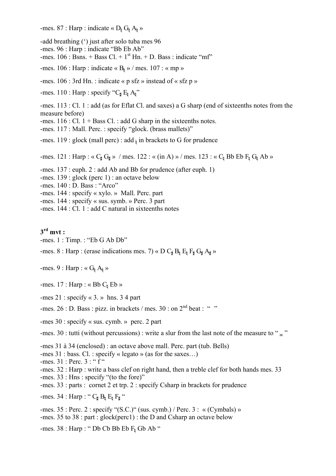-mes. 87 : Harp : indicate «  $D_{\nvert} G_{\nvert} A_{\nvert}$  »

-add breathing (') just after solo tuba mes 96

-mes. 96 : Harp : indicate "Bb Eb Ab"

-mes.  $106$ : Bsns. + Bass Cl. + 1<sup>st</sup> Hn. + D. Bass : indicate "mf"

-mes. 106 : Harp : indicate «  $B<sub>i</sub>$  » / mes. 107 : « mp »

-mes.  $106: 3rd Hn$ . : indicate « p sfz » instead of « sfz p »

-mes. 110 : Harp : specify " $C_{\sharp} E_{\sharp} A_{\sharp}$ "

-mes. 113 : Cl. 1 : add (as for Eflat Cl. and saxes) a G sharp (end of sixteenths notes from the measure before)

-mes.  $116$ : Cl.  $1 +$ Bass Cl. : add G sharp in the sixteenths notes.

-mes. 117 : Mall. Perc. : specify "glock. (brass mallets)"

-mes. 119 : glock (mall perc) : add  $\frac{1}{b}$  in brackets to G for prudence

-mes. 121 : Harp : «  $C_{\sharp} G_{\sharp}$  » / mes. 122 : « (in A) » / mes. 123 : «  $C_{\sharp}$  Bb Eb  $F_{\sharp} G_{\sharp}$  Ab »

- -mes. 137 : euph. 2 : add Ab and Bb for prudence (after euph. 1)
- -mes. 139 : glock (perc 1) : an octave below
- -mes. 140 : D. Bass : "Arco"
- -mes. 144 : specify « xylo. » Mall. Perc. part
- -mes. 144 : specify « sus. symb. » Perc. 3 part
- -mes. 144 : Cl. 1 : add C natural in sixteenths notes

**3rd mvt :**

-mes. 1 : Timp. : "Eb G Ab Db"

-mes. 8 : Harp : (erase indications mes. 7) « D  $C_{\sharp} B_{\sharp} E_{\sharp} F_{\sharp} G_{\sharp} A_{\sharp}$  »

-mes. 9 : Harp : «  $G_h A_h$  »

- -mes.  $17$ : Harp: «Bb  $C_h$  Eb »
- -mes 21 : specify « 3. » hns. 3 4 part
- -mes.  $26$ : D. Bass: pizz. in brackets / mes.  $30$ : on  $2<sup>nd</sup>$  beat: "
- -mes 30 : specify « sus. cymb. » perc. 2 part

-mes. 30 : tutti (without percussions) : write a slur from the last note of the measure to " $\omega$ "

-mes 31 à 34 (enclosed) : an octave above mall. Perc. part (tub. Bells)

-mes 31 : bass. Cl. : specify « legato » (as for the saxes…)

-mes. 31 : Perc. 3 : " f "

- -mes. 32 : Harp : write a bass clef on right hand, then a treble clef for both hands mes. 33
- -mes. 33 : Hns : specify "(to the fore)"
- -mes. 33 : parts : cornet 2 et trp. 2 : specify Csharp in brackets for prudence
- -mes. 34 : Harp : "  $C_{\sharp} B_{\sharp} E_{\sharp} F_{\sharp}$  "

-mes. 35 : Perc. 2 : specify " $(S.C.)$ " (sus. cymb.) / Perc. 3 : « (Cymbals) » -mes. 35 to 38 : part : glock(perc1) : the D and Csharp an octave below

-mes.  $38$ : Harp: " Db Cb Bb Eb  $F_1$  Gb Ab "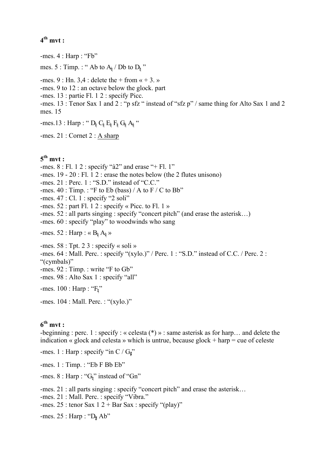# **4th mvt :**

-mes. 4 : Harp : "Fb" mes. 5 : Timp. : " Ab to  $A_h / Db$  to  $D_h$ " -mes. 9 : Hn.  $3,4$  : delete the + from  $\alpha + 3$ . -mes. 9 to 12 : an octave below the glock. part -mes. 13 : partie Fl. 1 2 : specify Picc. -mes. 13 : Tenor Sax 1 and 2 : "p sfz " instead of "sfz p" / same thing for Alto Sax 1 and 2 mes. 15  $-mes.13$ : Harp : "  $D_h C_h E_h F_h G_h A_h$ " -mes. 21 : Cornet 2 : A sharp **5th mvt :** -mes.  $8:$  Fl. 1 2 : specify "à2" and erase "+ Fl. 1" -mes. 19 - 20 : Fl. 1 2 : erase the notes below (the 2 flutes unisono) -mes. 21 : Perc. 1 : "S.D." instead of "C.C." -mes.  $40$ : Timp.: "F to Eb (bass) / A to F / C to Bb" -mes. 47 : Cl. 1 : specify "2 soli" -mes.  $52$ : part Fl. 1 2 : specify « Picc. to Fl. 1 » -mes. 52 : all parts singing : specify "concert pitch" (and erase the asterisk…) -mes. 60 : specify "play" to woodwinds who sang -mes. 52 : Harp : «  $B_h A_h$  » -mes.  $58:$  Tpt. 2 3 : specify « soli » -mes. 64 : Mall. Perc. : specify "(xylo.)" / Perc. 1 : "S.D." instead of C.C. / Perc. 2 : "(cymbals)" -mes. 92 : Timp. : write "F to Gb" -mes. 98 : Alto Sax 1 : specify "all" -mes.  $100$  : Harp : " $F_h$ " -mes. 104 : Mall. Perc. : "(xylo.)"

### **6th mvt :**

-beginning : perc. 1 : specify : « celesta (\*) » : same asterisk as for harp… and delete the indication « glock and celesta » which is untrue, because glock  $+$  harp  $=$  cue of celeste

-mes. 1 : Harp : specify "in  $C/G_{\mu}$ "

-mes. 1 : Timp. : "Eb F Bb Eb"

-mes. 8 : Harp : "G<sub>1</sub>" instead of "Gn"

-mes. 21 : all parts singing : specify "concert pitch" and erase the asterisk…

-mes. 21 : Mall. Perc. : specify "Vibra."

-mes. 25 : tenor Sax  $12 + Bar Sax$ : specify "(play)"

-mes.  $25$ : Harp: " $D_{\sharp}$  Ab"